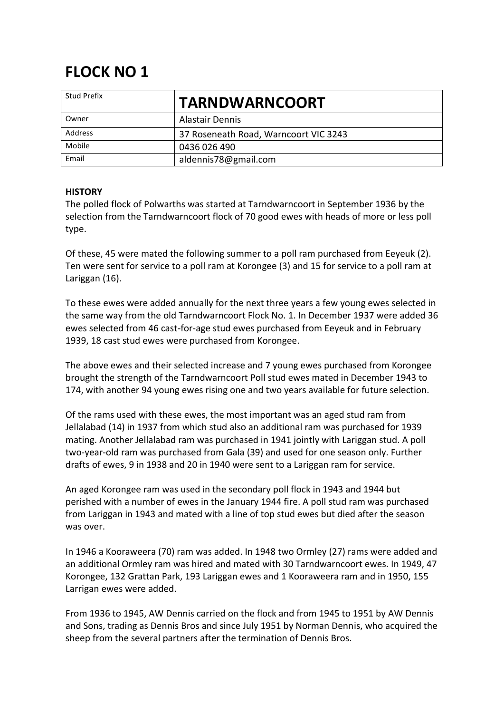## **FLOCK NO 1**

| <b>Stud Prefix</b> | <b>TARNDWARNCOORT</b>                 |
|--------------------|---------------------------------------|
| Owner              | <b>Alastair Dennis</b>                |
| Address            | 37 Roseneath Road, Warncoort VIC 3243 |
| Mobile             | 0436 026 490                          |
| Email              | aldennis78@gmail.com                  |

## **HISTORY**

The polled flock of Polwarths was started at Tarndwarncoort in September 1936 by the selection from the Tarndwarncoort flock of 70 good ewes with heads of more or less poll type.

Of these, 45 were mated the following summer to a poll ram purchased from Eeyeuk (2). Ten were sent for service to a poll ram at Korongee (3) and 15 for service to a poll ram at Lariggan (16).

To these ewes were added annually for the next three years a few young ewes selected in the same way from the old Tarndwarncoort Flock No. 1. In December 1937 were added 36 ewes selected from 46 cast-for-age stud ewes purchased from Eeyeuk and in February 1939, 18 cast stud ewes were purchased from Korongee.

The above ewes and their selected increase and 7 young ewes purchased from Korongee brought the strength of the Tarndwarncoort Poll stud ewes mated in December 1943 to 174, with another 94 young ewes rising one and two years available for future selection.

Of the rams used with these ewes, the most important was an aged stud ram from Jellalabad (14) in 1937 from which stud also an additional ram was purchased for 1939 mating. Another Jellalabad ram was purchased in 1941 jointly with Lariggan stud. A poll two-year-old ram was purchased from Gala (39) and used for one season only. Further drafts of ewes, 9 in 1938 and 20 in 1940 were sent to a Lariggan ram for service.

An aged Korongee ram was used in the secondary poll flock in 1943 and 1944 but perished with a number of ewes in the January 1944 fire. A poll stud ram was purchased from Lariggan in 1943 and mated with a line of top stud ewes but died after the season was over.

In 1946 a Kooraweera (70) ram was added. In 1948 two Ormley (27) rams were added and an additional Ormley ram was hired and mated with 30 Tarndwarncoort ewes. In 1949, 47 Korongee, 132 Grattan Park, 193 Lariggan ewes and 1 Kooraweera ram and in 1950, 155 Larrigan ewes were added.

From 1936 to 1945, AW Dennis carried on the flock and from 1945 to 1951 by AW Dennis and Sons, trading as Dennis Bros and since July 1951 by Norman Dennis, who acquired the sheep from the several partners after the termination of Dennis Bros.